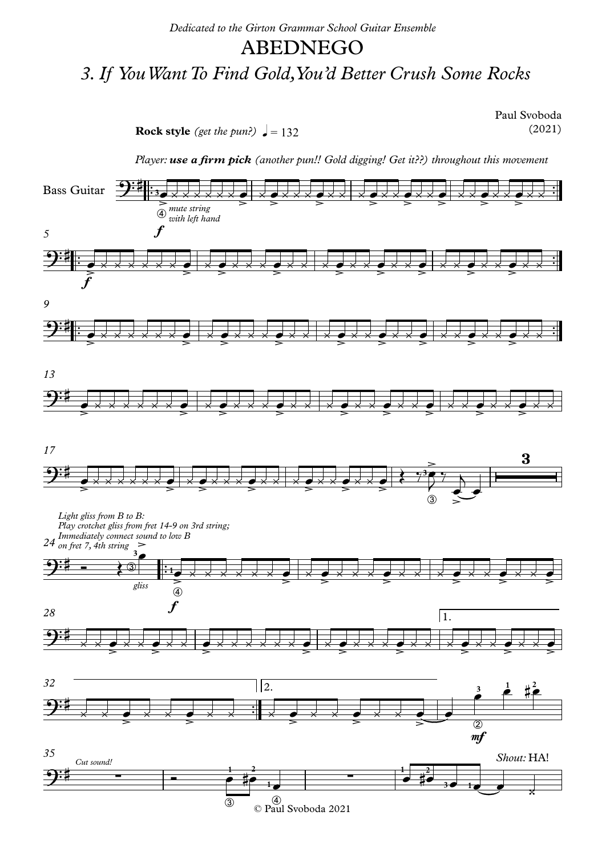## ABEDNEGO

## *3.If YouWantTo Find Gold,You'd Better Crush Some Rocks*

**Rock** style (get the pun?)  $\sqrt{ } = 132$ 

Paul Svoboda (2021)

*Player: use a firm pick (another pun!! Gold digging! Get it??) throughout this movement*